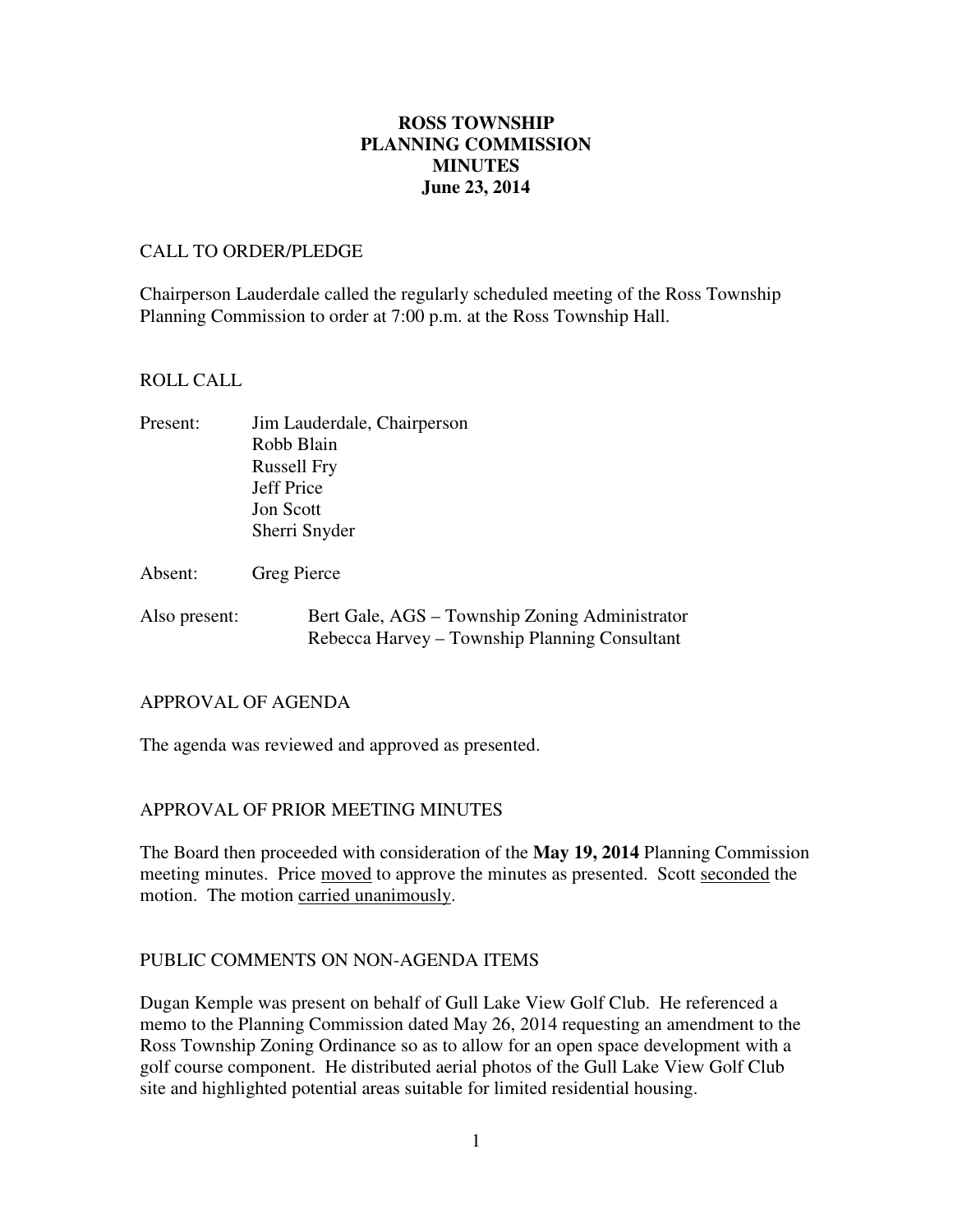# **June 23, 2014 ROSS TOWNSHIP PLANNING COMMISSION MINUTES**

## CALL TO ORDER/PLEDGE

 Chairperson Lauderdale called the regularly scheduled meeting of the Ross Township Planning Commission to order at 7:00 p.m. at the Ross Township Hall.

# ROLL CALL

| Present: | Jim Lauderdale, Chairperson |
|----------|-----------------------------|
|          | Robb Blain                  |
|          | <b>Russell Fry</b>          |
|          | Jeff Price                  |
|          | <b>Jon Scott</b>            |
|          | Sherri Snyder               |
|          |                             |

Absent: Greg Pierce

Also present: Bert Gale, AGS – Township Zoning Administrator Rebecca Harvey – Township Planning Consultant

# APPROVAL OF AGENDA

The agenda was reviewed and approved as presented.

# APPROVAL OF PRIOR MEETING MINUTES

 The Board then proceeded with consideration of the **May 19, 2014** Planning Commission meeting minutes. Price moved to approve the minutes as presented. Scott seconded the motion. The motion carried unanimously.

# PUBLIC COMMENTS ON NON-AGENDA ITEMS

 Dugan Kemple was present on behalf of Gull Lake View Golf Club. He referenced a memo to the Planning Commission dated May 26, 2014 requesting an amendment to the Ross Township Zoning Ordinance so as to allow for an open space development with a golf course component. He distributed aerial photos of the Gull Lake View Golf Club site and highlighted potential areas suitable for limited residential housing.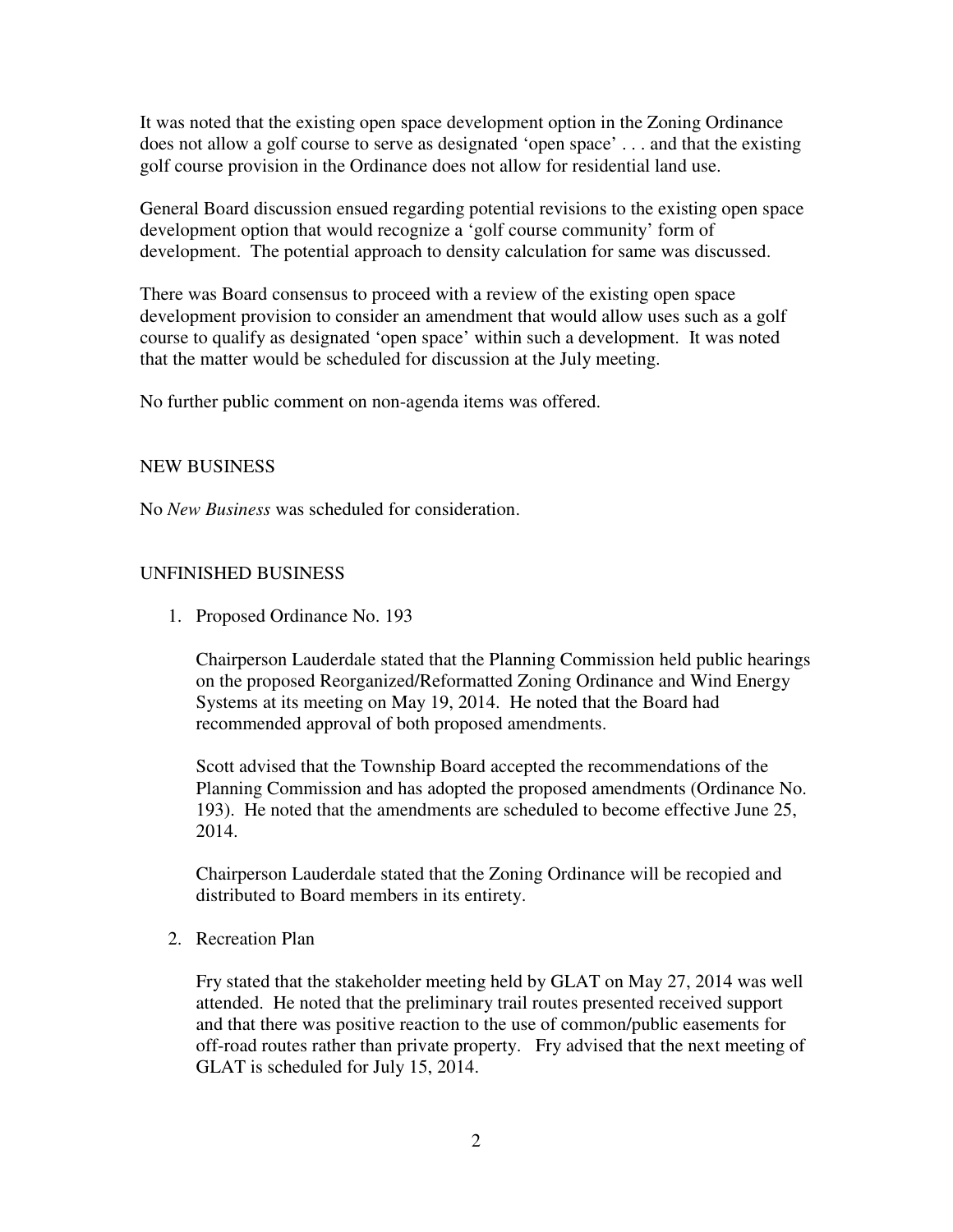It was noted that the existing open space development option in the Zoning Ordinance does not allow a golf course to serve as designated 'open space' . . . and that the existing golf course provision in the Ordinance does not allow for residential land use.

 General Board discussion ensued regarding potential revisions to the existing open space development option that would recognize a 'golf course community' form of development. The potential approach to density calculation for same was discussed.

 There was Board consensus to proceed with a review of the existing open space development provision to consider an amendment that would allow uses such as a golf course to qualify as designated 'open space' within such a development. It was noted that the matter would be scheduled for discussion at the July meeting.

No further public comment on non-agenda items was offered.

# NEW BUSINESS

No *New Business* was scheduled for consideration.

# UNFINISHED BUSINESS

1. Proposed Ordinance No. 193

 Chairperson Lauderdale stated that the Planning Commission held public hearings on the proposed Reorganized/Reformatted Zoning Ordinance and Wind Energy Systems at its meeting on May 19, 2014. He noted that the Board had recommended approval of both proposed amendments.

 Scott advised that the Township Board accepted the recommendations of the Planning Commission and has adopted the proposed amendments (Ordinance No. 193). He noted that the amendments are scheduled to become effective June 25, 2014.

 Chairperson Lauderdale stated that the Zoning Ordinance will be recopied and distributed to Board members in its entirety.

2. Recreation Plan

 Fry stated that the stakeholder meeting held by GLAT on May 27, 2014 was well attended. He noted that the preliminary trail routes presented received support and that there was positive reaction to the use of common/public easements for off-road routes rather than private property. Fry advised that the next meeting of GLAT is scheduled for July 15, 2014.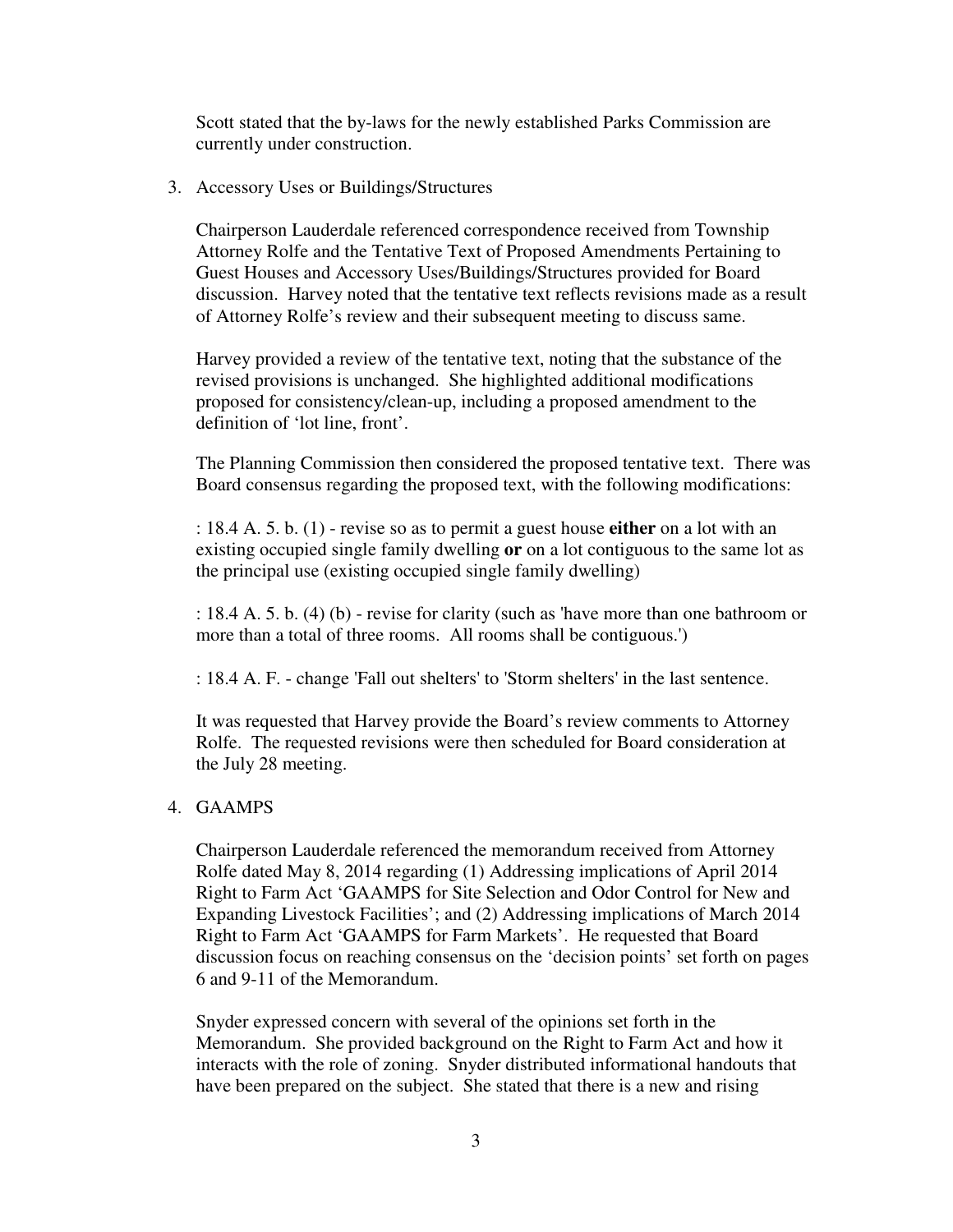Scott stated that the by-laws for the newly established Parks Commission are currently under construction.

3. Accessory Uses or Buildings/Structures

 Chairperson Lauderdale referenced correspondence received from Township Attorney Rolfe and the Tentative Text of Proposed Amendments Pertaining to Guest Houses and Accessory Uses/Buildings/Structures provided for Board discussion. Harvey noted that the tentative text reflects revisions made as a result of Attorney Rolfe's review and their subsequent meeting to discuss same.

 Harvey provided a review of the tentative text, noting that the substance of the revised provisions is unchanged. She highlighted additional modifications proposed for consistency/clean-up, including a proposed amendment to the definition of 'lot line, front'.

 The Planning Commission then considered the proposed tentative text. There was Board consensus regarding the proposed text, with the following modifications:

 : 18.4 A. 5. b. (1) - revise so as to permit a guest house **either** on a lot with an existing occupied single family dwelling **or** on a lot contiguous to the same lot as the principal use (existing occupied single family dwelling)

 : 18.4 A. 5. b. (4) (b) - revise for clarity (such as 'have more than one bathroom or more than a total of three rooms. All rooms shall be contiguous.')

: 18.4 A. F. - change 'Fall out shelters' to 'Storm shelters' in the last sentence.

 It was requested that Harvey provide the Board's review comments to Attorney Rolfe. The requested revisions were then scheduled for Board consideration at the July 28 meeting.

### 4. GAAMPS

 Chairperson Lauderdale referenced the memorandum received from Attorney Rolfe dated May 8, 2014 regarding (1) Addressing implications of April 2014 Right to Farm Act 'GAAMPS for Site Selection and Odor Control for New and Expanding Livestock Facilities'; and (2) Addressing implications of March 2014 Right to Farm Act 'GAAMPS for Farm Markets'. He requested that Board discussion focus on reaching consensus on the 'decision points' set forth on pages 6 and 9-11 of the Memorandum.

 Snyder expressed concern with several of the opinions set forth in the Memorandum. She provided background on the Right to Farm Act and how it interacts with the role of zoning. Snyder distributed informational handouts that have been prepared on the subject. She stated that there is a new and rising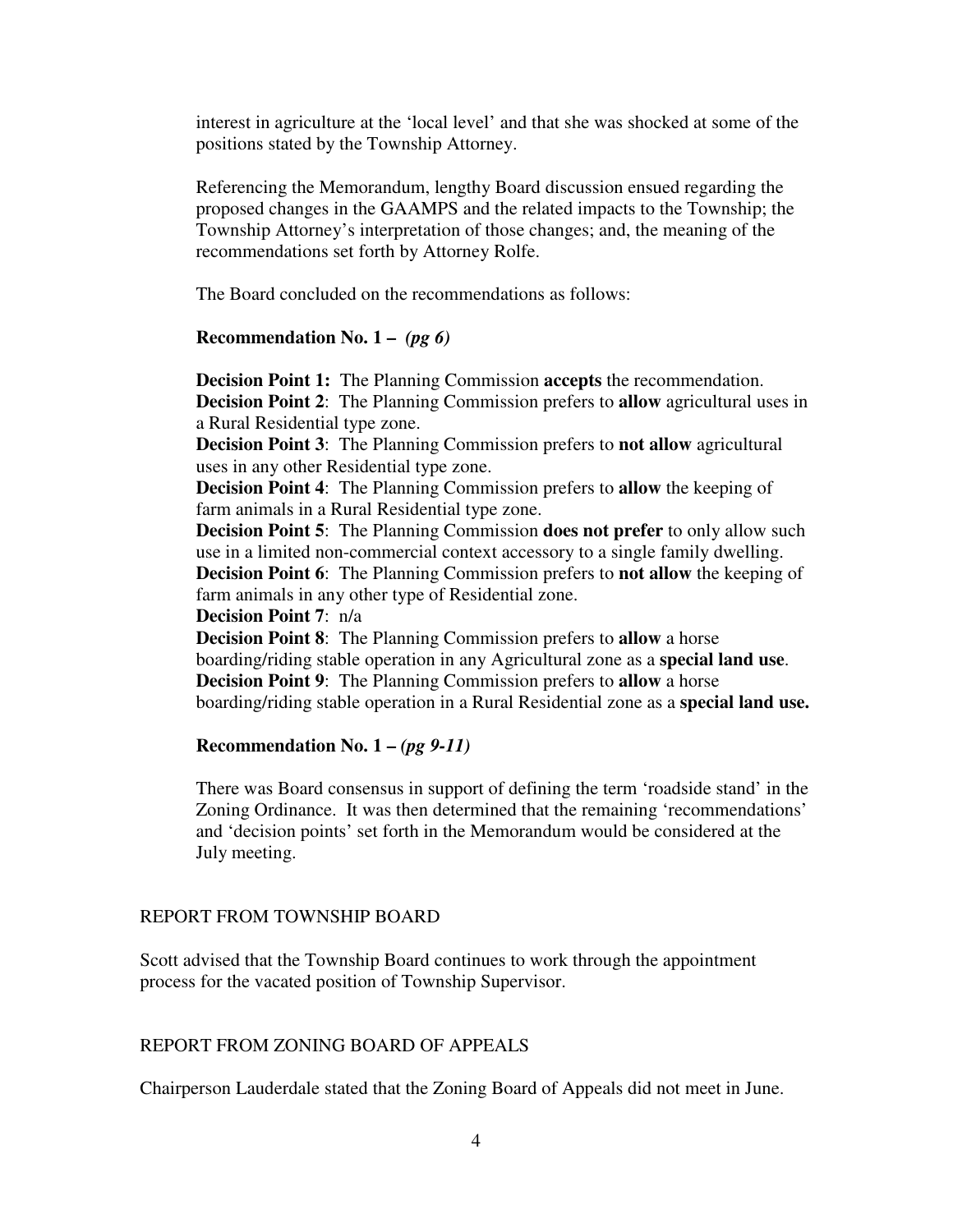interest in agriculture at the 'local level' and that she was shocked at some of the positions stated by the Township Attorney.

 Referencing the Memorandum, lengthy Board discussion ensued regarding the proposed changes in the GAAMPS and the related impacts to the Township; the Township Attorney's interpretation of those changes; and, the meaning of the recommendations set forth by Attorney Rolfe.

The Board concluded on the recommendations as follows:

### **Recommendation No. 1 –** *(pg 6)*

 **Decision Point 1:** The Planning Commission **accepts** the recommendation.  **Decision Point 2**: The Planning Commission prefers to **allow** agricultural uses in a Rural Residential type zone.

 **Decision Point 3**: The Planning Commission prefers to **not allow** agricultural uses in any other Residential type zone.

 **Decision Point 4**: The Planning Commission prefers to **allow** the keeping of farm animals in a Rural Residential type zone.

 **Decision Point 5**: The Planning Commission **does not prefer** to only allow such use in a limited non-commercial context accessory to a single family dwelling.  **Decision Point 6**: The Planning Commission prefers to **not allow** the keeping of farm animals in any other type of Residential zone.

 **Decision Point 7**: n/a

 **Decision Point 8**: The Planning Commission prefers to **allow** a horse boarding/riding stable operation in any Agricultural zone as a **special land use**.  **Decision Point 9**: The Planning Commission prefers to **allow** a horse boarding/riding stable operation in a Rural Residential zone as a **special land use.** 

### **Recommendation No. 1 –** *(pg 9-11)*

 There was Board consensus in support of defining the term 'roadside stand' in the Zoning Ordinance. It was then determined that the remaining 'recommendations' and 'decision points' set forth in the Memorandum would be considered at the July meeting.

### REPORT FROM TOWNSHIP BOARD

 Scott advised that the Township Board continues to work through the appointment process for the vacated position of Township Supervisor.

### REPORT FROM ZONING BOARD OF APPEALS

Chairperson Lauderdale stated that the Zoning Board of Appeals did not meet in June.